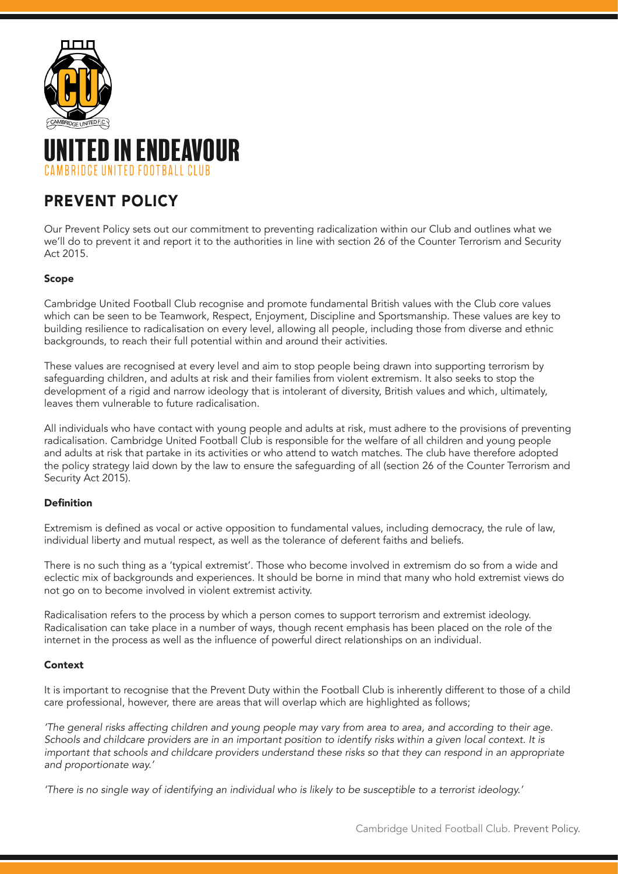



# PREVENT POLICY

Our Prevent Policy sets out our commitment to preventing radicalization within our Club and outlines what we we'll do to prevent it and report it to the authorities in line with section 26 of the Counter Terrorism and Security Act 2015.

## Scope

Cambridge United Football Club recognise and promote fundamental British values with the Club core values which can be seen to be Teamwork, Respect, Enjoyment, Discipline and Sportsmanship. These values are key to building resilience to radicalisation on every level, allowing all people, including those from diverse and ethnic backgrounds, to reach their full potential within and around their activities.

These values are recognised at every level and aim to stop people being drawn into supporting terrorism by safeguarding children, and adults at risk and their families from violent extremism. It also seeks to stop the development of a rigid and narrow ideology that is intolerant of diversity, British values and which, ultimately, leaves them vulnerable to future radicalisation.

All individuals who have contact with young people and adults at risk, must adhere to the provisions of preventing radicalisation. Cambridge United Football Club is responsible for the welfare of all children and young people and adults at risk that partake in its activities or who attend to watch matches. The club have therefore adopted the policy strategy laid down by the law to ensure the safeguarding of all (section 26 of the Counter Terrorism and Security Act 2015).

#### Definition

Extremism is defined as vocal or active opposition to fundamental values, including democracy, the rule of law, individual liberty and mutual respect, as well as the tolerance of deferent faiths and beliefs.

There is no such thing as a 'typical extremist'. Those who become involved in extremism do so from a wide and eclectic mix of backgrounds and experiences. It should be borne in mind that many who hold extremist views do not go on to become involved in violent extremist activity.

Radicalisation refers to the process by which a person comes to support terrorism and extremist ideology. Radicalisation can take place in a number of ways, though recent emphasis has been placed on the role of the internet in the process as well as the influence of powerful direct relationships on an individual.

#### Context

It is important to recognise that the Prevent Duty within the Football Club is inherently different to those of a child care professional, however, there are areas that will overlap which are highlighted as follows;

*'The general risks affecting children and young people may vary from area to area, and according to their age. Schools and childcare providers are in an important position to identify risks within a given local context. It is important that schools and childcare providers understand these risks so that they can respond in an appropriate and proportionate way.'* 

*'There is no single way of identifying an individual who is likely to be susceptible to a terrorist ideology.'*